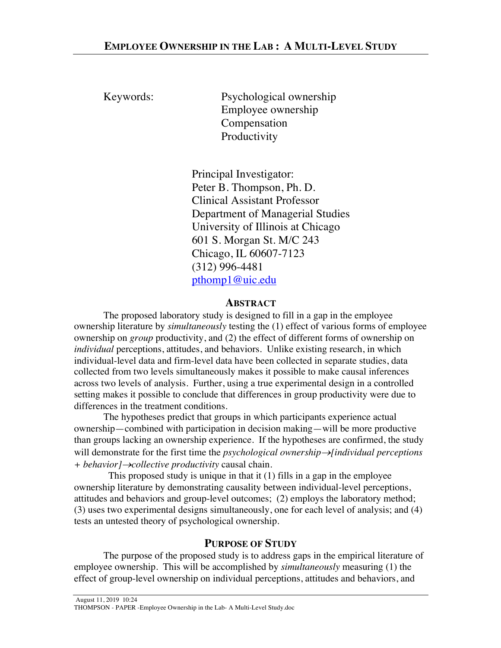Keywords: Psychological ownership Employee ownership Compensation Productivity

> Principal Investigator: Peter B. Thompson, Ph. D. Clinical Assistant Professor Department of Managerial Studies University of Illinois at Chicago 601 S. Morgan St. M/C 243 Chicago, IL 60607-7123 (312) 996-4481 pthomp1@uic.edu

## **ABSTRACT**

The proposed laboratory study is designed to fill in a gap in the employee ownership literature by *simultaneously* testing the (1) effect of various forms of employee ownership on *group* productivity, and (2) the effect of different forms of ownership on *individual* perceptions, attitudes, and behaviors. Unlike existing research, in which individual-level data and firm-level data have been collected in separate studies, data collected from two levels simultaneously makes it possible to make causal inferences across two levels of analysis. Further, using a true experimental design in a controlled setting makes it possible to conclude that differences in group productivity were due to differences in the treatment conditions.

The hypotheses predict that groups in which participants experience actual ownership—combined with participation in decision making—will be more productive than groups lacking an ownership experience. If the hypotheses are confirmed, the study will demonstrate for the first time the *psychological ownership*  $\rightarrow$ *[individual perceptions + behavior]*®*collective productivity* causal chain.

 This proposed study is unique in that it (1) fills in a gap in the employee ownership literature by demonstrating causality between individual-level perceptions, attitudes and behaviors and group-level outcomes; (2) employs the laboratory method; (3) uses two experimental designs simultaneously, one for each level of analysis; and (4) tests an untested theory of psychological ownership.

# **PURPOSE OF STUDY**

The purpose of the proposed study is to address gaps in the empirical literature of employee ownership. This will be accomplished by *simultaneously* measuring (1) the effect of group-level ownership on individual perceptions, attitudes and behaviors, and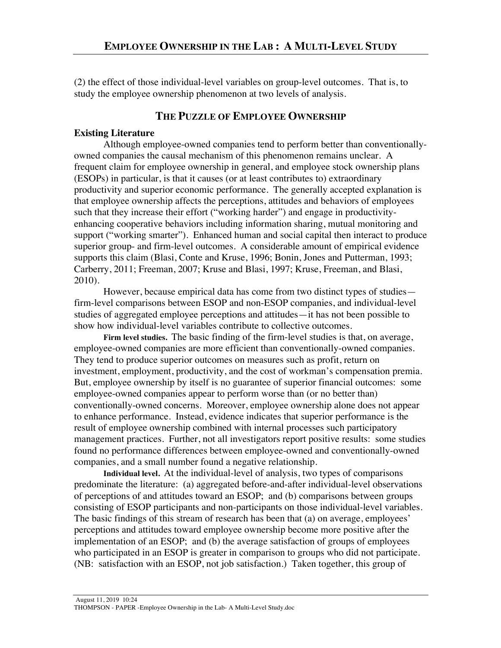(2) the effect of those individual-level variables on group-level outcomes. That is, to study the employee ownership phenomenon at two levels of analysis.

## **THE PUZZLE OF EMPLOYEE OWNERSHIP**

#### **Existing Literature**

Although employee-owned companies tend to perform better than conventionallyowned companies the causal mechanism of this phenomenon remains unclear. A frequent claim for employee ownership in general, and employee stock ownership plans (ESOPs) in particular, is that it causes (or at least contributes to) extraordinary productivity and superior economic performance. The generally accepted explanation is that employee ownership affects the perceptions, attitudes and behaviors of employees such that they increase their effort ("working harder") and engage in productivityenhancing cooperative behaviors including information sharing, mutual monitoring and support ("working smarter"). Enhanced human and social capital then interact to produce superior group- and firm-level outcomes. A considerable amount of empirical evidence supports this claim (Blasi, Conte and Kruse, 1996; Bonin, Jones and Putterman, 1993; Carberry, 2011; Freeman, 2007; Kruse and Blasi, 1997; Kruse, Freeman, and Blasi, 2010).

However, because empirical data has come from two distinct types of studies firm-level comparisons between ESOP and non-ESOP companies, and individual-level studies of aggregated employee perceptions and attitudes—it has not been possible to show how individual-level variables contribute to collective outcomes.

**Firm level studies.** The basic finding of the firm-level studies is that, on average, employee-owned companies are more efficient than conventionally-owned companies. They tend to produce superior outcomes on measures such as profit, return on investment, employment, productivity, and the cost of workman's compensation premia. But, employee ownership by itself is no guarantee of superior financial outcomes: some employee-owned companies appear to perform worse than (or no better than) conventionally-owned concerns. Moreover, employee ownership alone does not appear to enhance performance. Instead, evidence indicates that superior performance is the result of employee ownership combined with internal processes such participatory management practices. Further, not all investigators report positive results: some studies found no performance differences between employee-owned and conventionally-owned companies, and a small number found a negative relationship.

**Individual level.** At the individual-level of analysis, two types of comparisons predominate the literature: (a) aggregated before-and-after individual-level observations of perceptions of and attitudes toward an ESOP; and (b) comparisons between groups consisting of ESOP participants and non-participants on those individual-level variables. The basic findings of this stream of research has been that (a) on average, employees' perceptions and attitudes toward employee ownership become more positive after the implementation of an ESOP; and (b) the average satisfaction of groups of employees who participated in an ESOP is greater in comparison to groups who did not participate. (NB: satisfaction with an ESOP, not job satisfaction.) Taken together, this group of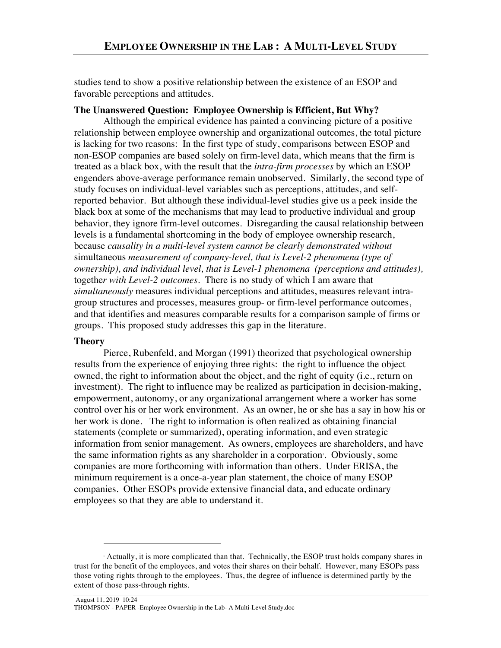studies tend to show a positive relationship between the existence of an ESOP and favorable perceptions and attitudes.

#### **The Unanswered Question: Employee Ownership is Efficient, But Why?**

Although the empirical evidence has painted a convincing picture of a positive relationship between employee ownership and organizational outcomes, the total picture is lacking for two reasons: In the first type of study, comparisons between ESOP and non-ESOP companies are based solely on firm-level data, which means that the firm is treated as a black box, with the result that the *intra-firm processes* by which an ESOP engenders above-average performance remain unobserved. Similarly, the second type of study focuses on individual-level variables such as perceptions, attitudes, and selfreported behavior. But although these individual-level studies give us a peek inside the black box at some of the mechanisms that may lead to productive individual and group behavior, they ignore firm-level outcomes. Disregarding the causal relationship between levels is a fundamental shortcoming in the body of employee ownership research, because *causality in a multi-level system cannot be clearly demonstrated without*  simultaneous *measurement of company-level, that is Level-2 phenomena (type of ownership), and individual level, that is Level-1 phenomena (perceptions and attitudes),*  togethe*r with Level-2 outcomes.* There is no study of which I am aware that *simultaneously* measures individual perceptions and attitudes, measures relevant intragroup structures and processes, measures group- or firm-level performance outcomes, and that identifies and measures comparable results for a comparison sample of firms or groups. This proposed study addresses this gap in the literature.

#### **Theory**

-

Pierce, Rubenfeld, and Morgan (1991) theorized that psychological ownership results from the experience of enjoying three rights: the right to influence the object owned, the right to information about the object, and the right of equity (i.e., return on investment). The right to influence may be realized as participation in decision-making, empowerment, autonomy, or any organizational arrangement where a worker has some control over his or her work environment. As an owner, he or she has a say in how his or her work is done. The right to information is often realized as obtaining financial statements (complete or summarized), operating information, and even strategic information from senior management. As owners, employees are shareholders, and have the same information rights as any shareholder in a corporation. Obviously, some companies are more forthcoming with information than others. Under ERISA, the minimum requirement is a once-a-year plan statement, the choice of many ESOP companies. Other ESOPs provide extensive financial data, and educate ordinary employees so that they are able to understand it.

<sup>1</sup> Actually, it is more complicated than that. Technically, the ESOP trust holds company shares in trust for the benefit of the employees, and votes their shares on their behalf. However, many ESOPs pass those voting rights through to the employees. Thus, the degree of influence is determined partly by the extent of those pass-through rights.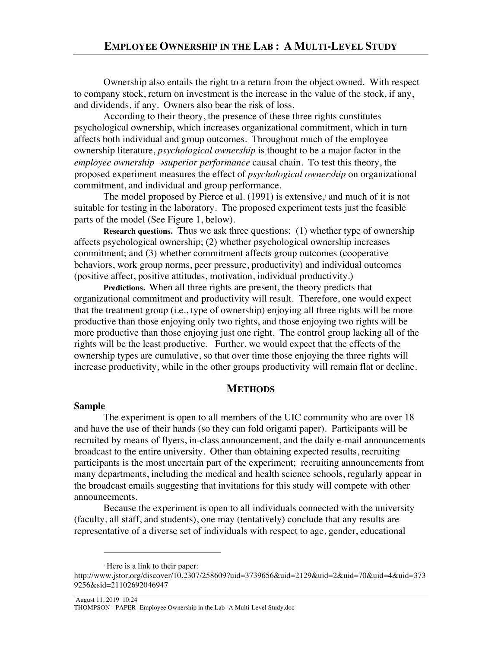Ownership also entails the right to a return from the object owned. With respect to company stock, return on investment is the increase in the value of the stock, if any, and dividends, if any. Owners also bear the risk of loss.

According to their theory, the presence of these three rights constitutes psychological ownership, which increases organizational commitment, which in turn affects both individual and group outcomes. Throughout much of the employee ownership literature, *psychological ownership* is thought to be a major factor in the *employee ownership*  $\rightarrow$ *superior performance* causal chain. To test this theory, the proposed experiment measures the effect of *psychological ownership* on organizational commitment, and individual and group performance.

The model proposed by Pierce et al.  $(1991)$  is extensive, and much of it is not suitable for testing in the laboratory. The proposed experiment tests just the feasible parts of the model (See Figure 1, below).

**Research questions.** Thus we ask three questions: (1) whether type of ownership affects psychological ownership; (2) whether psychological ownership increases commitment; and (3) whether commitment affects group outcomes (cooperative behaviors, work group norms, peer pressure, productivity) and individual outcomes (positive affect, positive attitudes, motivation, individual productivity.)

**Predictions.** When all three rights are present, the theory predicts that organizational commitment and productivity will result. Therefore, one would expect that the treatment group (i.e., type of ownership) enjoying all three rights will be more productive than those enjoying only two rights, and those enjoying two rights will be more productive than those enjoying just one right. The control group lacking all of the rights will be the least productive. Further, we would expect that the effects of the ownership types are cumulative, so that over time those enjoying the three rights will increase productivity, while in the other groups productivity will remain flat or decline.

#### **METHODS**

#### **Sample**

-

The experiment is open to all members of the UIC community who are over 18 and have the use of their hands (so they can fold origami paper). Participants will be recruited by means of flyers, in-class announcement, and the daily e-mail announcements broadcast to the entire university. Other than obtaining expected results, recruiting participants is the most uncertain part of the experiment; recruiting announcements from many departments, including the medical and health science schools, regularly appear in the broadcast emails suggesting that invitations for this study will compete with other announcements.

Because the experiment is open to all individuals connected with the university (faculty, all staff, and students), one may (tentatively) conclude that any results are representative of a diverse set of individuals with respect to age, gender, educational

<sup>2</sup> Here is a link to their paper:

http://www.jstor.org/discover/10.2307/258609?uid=3739656&uid=2129&uid=2&uid=70&uid=4&uid=373 9256&sid=21102692046947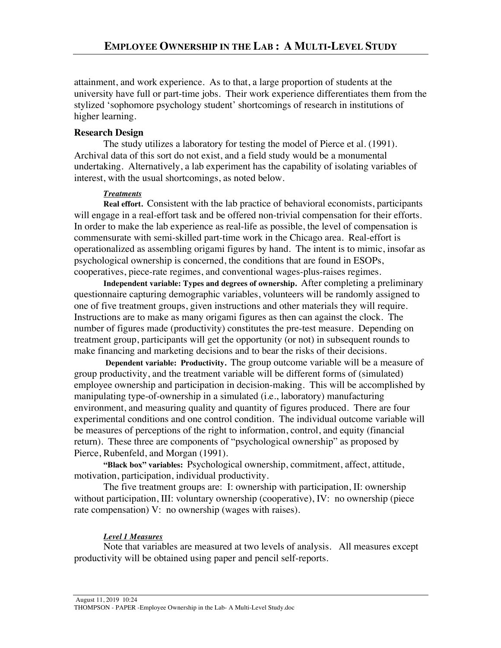attainment, and work experience. As to that, a large proportion of students at the university have full or part-time jobs. Their work experience differentiates them from the stylized 'sophomore psychology student' shortcomings of research in institutions of higher learning.

### **Research Design**

The study utilizes a laboratory for testing the model of Pierce et al. (1991). Archival data of this sort do not exist, and a field study would be a monumental undertaking. Alternatively, a lab experiment has the capability of isolating variables of interest, with the usual shortcomings, as noted below.

#### *Treatments*

**Real effort.** Consistent with the lab practice of behavioral economists, participants will engage in a real-effort task and be offered non-trivial compensation for their efforts. In order to make the lab experience as real-life as possible, the level of compensation is commensurate with semi-skilled part-time work in the Chicago area. Real-effort is operationalized as assembling origami figures by hand. The intent is to mimic, insofar as psychological ownership is concerned, the conditions that are found in ESOPs, cooperatives, piece-rate regimes, and conventional wages-plus-raises regimes.

**Independent variable: Types and degrees of ownership.** After completing a preliminary questionnaire capturing demographic variables, volunteers will be randomly assigned to one of five treatment groups, given instructions and other materials they will require. Instructions are to make as many origami figures as then can against the clock. The number of figures made (productivity) constitutes the pre-test measure. Depending on treatment group, participants will get the opportunity (or not) in subsequent rounds to make financing and marketing decisions and to bear the risks of their decisions.

**Dependent variable: Productivity.** The group outcome variable will be a measure of group productivity, and the treatment variable will be different forms of (simulated) employee ownership and participation in decision-making. This will be accomplished by manipulating type-of-ownership in a simulated (i.e., laboratory) manufacturing environment, and measuring quality and quantity of figures produced. There are four experimental conditions and one control condition. The individual outcome variable will be measures of perceptions of the right to information, control, and equity (financial return). These three are components of "psychological ownership" as proposed by Pierce, Rubenfeld, and Morgan (1991).

**"Black box" variables:** Psychological ownership, commitment, affect, attitude, motivation, participation, individual productivity.

The five treatment groups are: I: ownership with participation, II: ownership without participation, III: voluntary ownership (cooperative), IV: no ownership (piece rate compensation) V: no ownership (wages with raises).

#### *Level 1 Measures*

Note that variables are measured at two levels of analysis. All measures except productivity will be obtained using paper and pencil self-reports.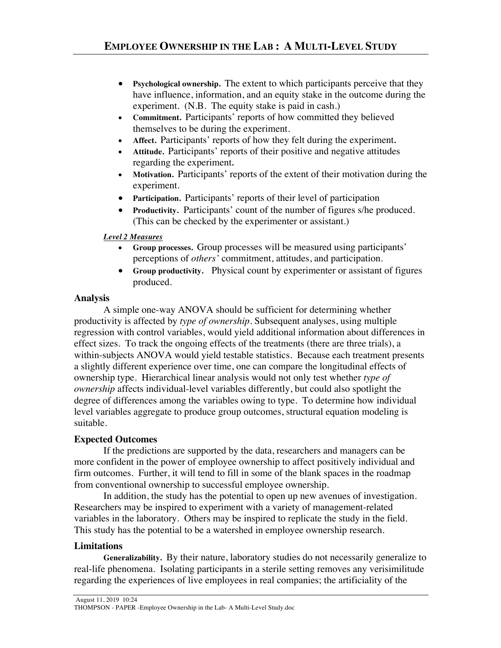- **Psychological ownership.** The extent to which participants perceive that they have influence, information, and an equity stake in the outcome during the experiment. (N.B. The equity stake is paid in cash.)
- **Commitment.** Participants' reports of how committed they believed themselves to be during the experiment.
- **Affect.** Participants' reports of how they felt during the experiment**.**
- **Attitude.** Participants' reports of their positive and negative attitudes regarding the experiment**.**
- Motivation. Participants' reports of the extent of their motivation during the experiment.
- **Participation.** Participants' reports of their level of participation
- **Productivity.** Participants' count of the number of figures s/he produced. (This can be checked by the experimenter or assistant.)

## *Level 2 Measures*

- **Group processes.** Group processes will be measured using participants' perceptions of *others'* commitment, attitudes, and participation.
- **Group productivity.** Physical count by experimenter or assistant of figures produced.

## **Analysis**

A simple one-way ANOVA should be sufficient for determining whether productivity is affected by *type of ownership.* Subsequent analyses, using multiple regression with control variables, would yield additional information about differences in effect sizes. To track the ongoing effects of the treatments (there are three trials), a within-subjects ANOVA would yield testable statistics. Because each treatment presents a slightly different experience over time, one can compare the longitudinal effects of ownership type. Hierarchical linear analysis would not only test whether *type of ownership* affects individual-level variables differently, but could also spotlight the degree of differences among the variables owing to type. To determine how individual level variables aggregate to produce group outcomes, structural equation modeling is suitable.

## **Expected Outcomes**

If the predictions are supported by the data, researchers and managers can be more confident in the power of employee ownership to affect positively individual and firm outcomes. Further, it will tend to fill in some of the blank spaces in the roadmap from conventional ownership to successful employee ownership.

In addition, the study has the potential to open up new avenues of investigation. Researchers may be inspired to experiment with a variety of management-related variables in the laboratory. Others may be inspired to replicate the study in the field. This study has the potential to be a watershed in employee ownership research.

## **Limitations**

**Generalizability.** By their nature, laboratory studies do not necessarily generalize to real-life phenomena. Isolating participants in a sterile setting removes any verisimilitude regarding the experiences of live employees in real companies; the artificiality of the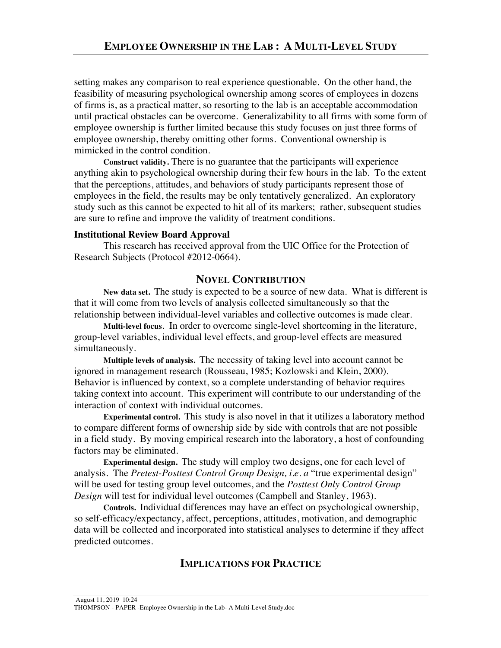setting makes any comparison to real experience questionable. On the other hand, the feasibility of measuring psychological ownership among scores of employees in dozens of firms is, as a practical matter, so resorting to the lab is an acceptable accommodation until practical obstacles can be overcome. Generalizability to all firms with some form of employee ownership is further limited because this study focuses on just three forms of employee ownership, thereby omitting other forms. Conventional ownership is mimicked in the control condition.

**Construct validity.** There is no guarantee that the participants will experience anything akin to psychological ownership during their few hours in the lab. To the extent that the perceptions, attitudes, and behaviors of study participants represent those of employees in the field, the results may be only tentatively generalized. An exploratory study such as this cannot be expected to hit all of its markers; rather, subsequent studies are sure to refine and improve the validity of treatment conditions.

## **Institutional Review Board Approval**

This research has received approval from the UIC Office for the Protection of Research Subjects (Protocol #2012-0664).

# **NOVEL CONTRIBUTION**

**New data set.** The study is expected to be a source of new data. What is different is that it will come from two levels of analysis collected simultaneously so that the relationship between individual-level variables and collective outcomes is made clear.

**Multi-level focus**. In order to overcome single-level shortcoming in the literature, group-level variables, individual level effects, and group-level effects are measured simultaneously.

**Multiple levels of analysis.** The necessity of taking level into account cannot be ignored in management research (Rousseau, 1985; Kozlowski and Klein, 2000). Behavior is influenced by context, so a complete understanding of behavior requires taking context into account. This experiment will contribute to our understanding of the interaction of context with individual outcomes.

**Experimental control.** This study is also novel in that it utilizes a laboratory method to compare different forms of ownership side by side with controls that are not possible in a field study. By moving empirical research into the laboratory, a host of confounding factors may be eliminated.

**Experimental design.** The study will employ two designs, one for each level of analysis. The *Pretest-Posttest Control Group Design, i.e. a* "true experimental design" will be used for testing group level outcomes, and the *Posttest Only Control Group Design* will test for individual level outcomes (Campbell and Stanley, 1963).

**Controls.** Individual differences may have an effect on psychological ownership, so self-efficacy/expectancy, affect, perceptions, attitudes, motivation, and demographic data will be collected and incorporated into statistical analyses to determine if they affect predicted outcomes.

# **IMPLICATIONS FOR PRACTICE**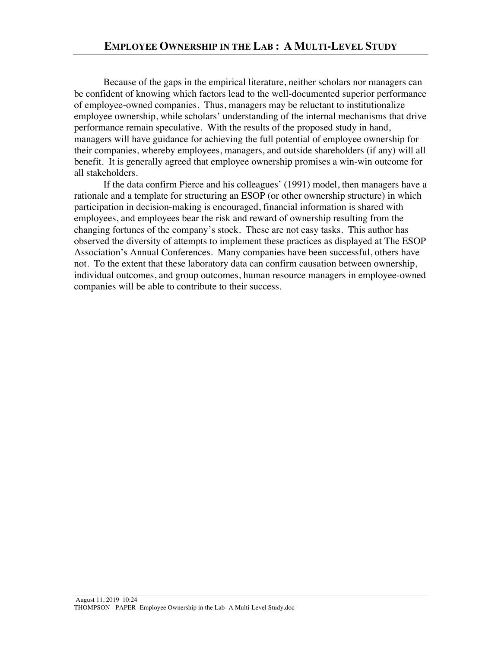Because of the gaps in the empirical literature, neither scholars nor managers can be confident of knowing which factors lead to the well-documented superior performance of employee-owned companies. Thus, managers may be reluctant to institutionalize employee ownership, while scholars' understanding of the internal mechanisms that drive performance remain speculative. With the results of the proposed study in hand, managers will have guidance for achieving the full potential of employee ownership for their companies, whereby employees, managers, and outside shareholders (if any) will all benefit. It is generally agreed that employee ownership promises a win-win outcome for all stakeholders.

If the data confirm Pierce and his colleagues' (1991) model, then managers have a rationale and a template for structuring an ESOP (or other ownership structure) in which participation in decision-making is encouraged, financial information is shared with employees, and employees bear the risk and reward of ownership resulting from the changing fortunes of the company's stock. These are not easy tasks. This author has observed the diversity of attempts to implement these practices as displayed at The ESOP Association's Annual Conferences. Many companies have been successful, others have not. To the extent that these laboratory data can confirm causation between ownership, individual outcomes, and group outcomes, human resource managers in employee-owned companies will be able to contribute to their success.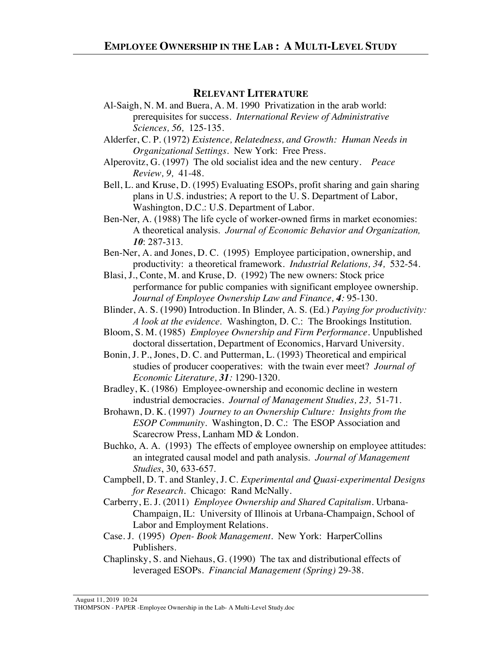# **RELEVANT LITERATURE**

- Al-Saigh, N. M. and Buera, A. M. 1990 Privatization in the arab world: prerequisites for success. *International Review of Administrative Sciences, 56,* 125-135.
- Alderfer, C. P. (1972) *Existence, Relatedness, and Growth: Human Needs in Organizational Settings.* New York: Free Press.
- Alperovitz, G. (1997) The old socialist idea and the new century. *Peace Review, 9,* 41-48.
- Bell, L. and Kruse, D. (1995) Evaluating ESOPs, profit sharing and gain sharing plans in U.S. industries; A report to the U. S. Department of Labor, Washington, D.C.: U.S. Department of Labor.
- Ben-Ner, A. (1988) The life cycle of worker-owned firms in market economies: A theoretical analysis. *Journal of Economic Behavior and Organization, 10*: 287-313.
- Ben-Ner, A. and Jones, D. C. (1995) Employee participation, ownership, and productivity: a theoretical framework. *Industrial Relations, 34,* 532-54.
- Blasi, J., Conte, M. and Kruse, D. (1992) The new owners: Stock price performance for public companies with significant employee ownership. *Journal of Employee Ownership Law and Finance, 4:* 95-130.
- Blinder, A. S. (1990) Introduction. In Blinder, A. S. (Ed.) *Paying for productivity: A look at the evidence*. Washington, D. C.: The Brookings Institution.
- Bloom, S. M. (1985) *Employee Ownership and Firm Performance.* Unpublished doctoral dissertation, Department of Economics, Harvard University.
- Bonin, J. P., Jones, D. C. and Putterman, L. (1993) Theoretical and empirical studies of producer cooperatives: with the twain ever meet? *Journal of Economic Literature, 31:* 1290-1320.
- Bradley, K. (1986) Employee-ownership and economic decline in western industrial democracies. *Journal of Management Studies, 23,* 51-71.
- Brohawn, D. K. (1997) *Journey to an Ownership Culture: Insights from the ESOP Community.* Washington, D. C.: The ESOP Association and Scarecrow Press, Lanham MD & London.
- Buchko, A. A. (1993) The effects of employee ownership on employee attitudes: an integrated causal model and path analysis. *Journal of Management Studies*, 30, 633-657.
- Campbell, D. T. and Stanley, J. C. *Experimental and Quasi-experimental Designs for Research.* Chicago: Rand McNally.
- Carberry, E. J. (2011) *Employee Ownership and Shared Capitalism.* Urbana-Champaign, IL: University of Illinois at Urbana-Champaign, School of Labor and Employment Relations.
- Case. J. (1995) *Open- Book Management.* New York: HarperCollins Publishers.
- Chaplinsky, S. and Niehaus, G. (1990) The tax and distributional effects of leveraged ESOPs. *Financial Management (Spring)* 29-38.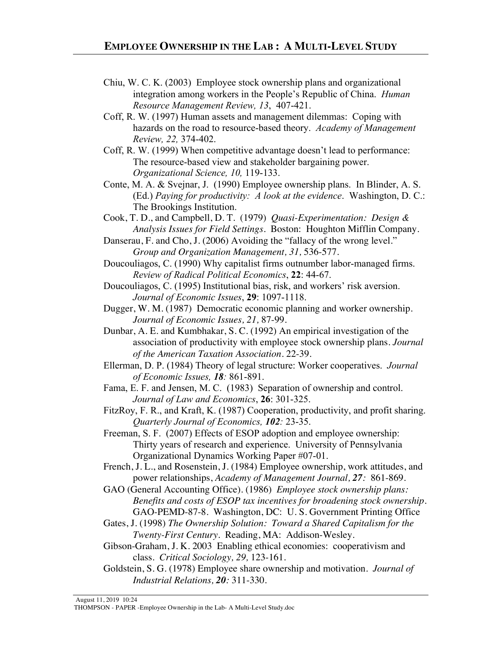- Chiu, W. C. K. (2003) Employee stock ownership plans and organizational integration among workers in the People's Republic of China. *Human Resource Management Review, 13*, 407-421.
- Coff, R. W. (1997) Human assets and management dilemmas: Coping with hazards on the road to resource-based theory. *Academy of Management Review, 22,* 374-402.
- Coff, R. W. (1999) When competitive advantage doesn't lead to performance: The resource-based view and stakeholder bargaining power. *Organizational Science, 10,* 119-133.
- Conte, M. A. & Svejnar, J. (1990) Employee ownership plans. In Blinder, A. S. (Ed.) *Paying for productivity: A look at the evidence*. Washington, D. C.: The Brookings Institution.
- Cook, T. D., and Campbell, D. T. (1979) *Quasi-Experimentation: Design & Analysis Issues for Field Settings.* Boston: Houghton Mifflin Company.
- Danserau, F. and Cho, J. (2006) Avoiding the "fallacy of the wrong level." *Group and Organization Management, 31,* 536-577.
- Doucouliagos, C. (1990) Why capitalist firms outnumber labor-managed firms. *Review of Radical Political Economics*, **22**: 44-67.
- Doucouliagos, C. (1995) Institutional bias, risk, and workers' risk aversion. *Journal of Economic Issues*, **29**: 1097-1118.
- Dugger, W. M. (1987) Democratic economic planning and worker ownership. *Journal of Economic Issues, 21,* 87-99.
- Dunbar, A. E. and Kumbhakar, S. C. (1992) An empirical investigation of the association of productivity with employee stock ownership plans. *Journal of the American Taxation Association*. 22-39.
- Ellerman, D. P. (1984) Theory of legal structure: Worker cooperatives. *Journal of Economic Issues, 18:* 861-891.
- Fama, E. F. and Jensen, M. C. (1983) Separation of ownership and control. *Journal of Law and Economics*, **26**: 301-325.
- FitzRoy, F. R., and Kraft, K. (1987) Cooperation, productivity, and profit sharing. *Quarterly Journal of Economics, 102:* 23-35.
- Freeman, S. F. (2007) Effects of ESOP adoption and employee ownership: Thirty years of research and experience. University of Pennsylvania Organizational Dynamics Working Paper #07-01.
- French, J. L., and Rosenstein, J. (1984) Employee ownership, work attitudes, and power relationships, *Academy of Management Journal, 27:* 861-869.
- GAO (General Accounting Office). (1986) *Employee stock ownership plans: Benefits and costs of ESOP tax incentives for broadening stock ownership.* GAO-PEMD-87-8. Washington, DC: U. S. Government Printing Office
- Gates, J. (1998) *The Ownership Solution: Toward a Shared Capitalism for the Twenty-First Century.* Reading, MA: Addison-Wesley.
- Gibson-Graham, J. K. 2003 Enabling ethical economies: cooperativism and class. *Critical Sociology, 29,* 123-161.
- Goldstein, S. G. (1978) Employee share ownership and motivation. *Journal of Industrial Relations, 20:* 311-330.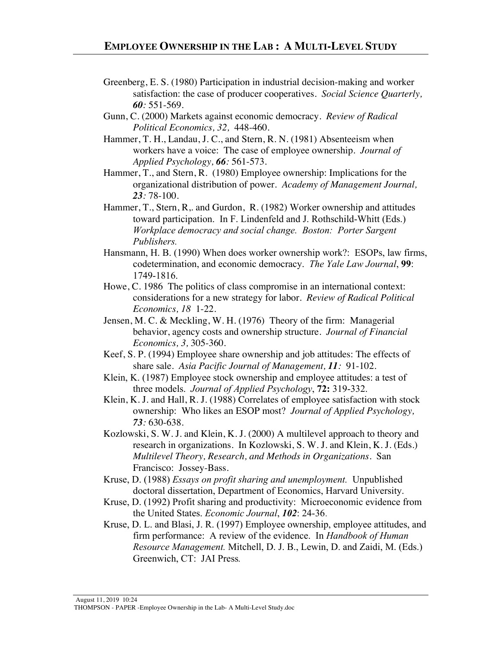- Greenberg, E. S. (1980) Participation in industrial decision-making and worker satisfaction: the case of producer cooperatives. *Social Science Quarterly, 60:* 551-569.
- Gunn, C. (2000) Markets against economic democracy. *Review of Radical Political Economics, 32,* 448-460.
- Hammer, T. H., Landau, J. C., and Stern, R. N. (1981) Absenteeism when workers have a voice: The case of employee ownership. *Journal of Applied Psychology, 66:* 561-573.
- Hammer, T., and Stern, R. (1980) Employee ownership: Implications for the organizational distribution of power. *Academy of Management Journal, 23:* 78-100.
- Hammer, T., Stern, R,. and Gurdon, R. (1982) Worker ownership and attitudes toward participation. In F. Lindenfeld and J. Rothschild-Whitt (Eds.) *Workplace democracy and social change. Boston: Porter Sargent Publishers.*
- Hansmann, H. B. (1990) When does worker ownership work?: ESOPs, law firms, codetermination, and economic democracy. *The Yale Law Journal*, **99**: 1749-1816.
- Howe, C. 1986 The politics of class compromise in an international context: considerations for a new strategy for labor. *Review of Radical Political Economics, 18* 1-22.
- Jensen, M. C. & Meckling, W. H. (1976) Theory of the firm: Managerial behavior, agency costs and ownership structure. *Journal of Financial Economics, 3,* 305-360.
- Keef, S. P. (1994) Employee share ownership and job attitudes: The effects of share sale. *Asia Pacific Journal of Management, 11:* 91-102.
- Klein, K. (1987) Employee stock ownership and employee attitudes: a test of three models. *Journal of Applied Psychology*, **72:** 319-332.
- Klein, K. J. and Hall, R. J. (1988) Correlates of employee satisfaction with stock ownership: Who likes an ESOP most? *Journal of Applied Psychology, 73:* 630-638.
- Kozlowski, S. W. J. and Klein, K. J. (2000) A multilevel approach to theory and research in organizations. In Kozlowski, S. W. J. and Klein, K. J. (Eds.) *Multilevel Theory, Research, and Methods in Organizations.* San Francisco: Jossey-Bass.
- Kruse, D. (1988) *Essays on profit sharing and unemployment.* Unpublished doctoral dissertation, Department of Economics, Harvard University.
- Kruse, D. (1992) Profit sharing and productivity: Microeconomic evidence from the United States. *Economic Journal*, *102*: 24-36.
- Kruse, D. L. and Blasi, J. R. (1997) Employee ownership, employee attitudes, and firm performance: A review of the evidence. In *Handbook of Human Resource Management.* Mitchell, D. J. B., Lewin, D. and Zaidi, M. (Eds.) Greenwich, CT: JAI Press*.*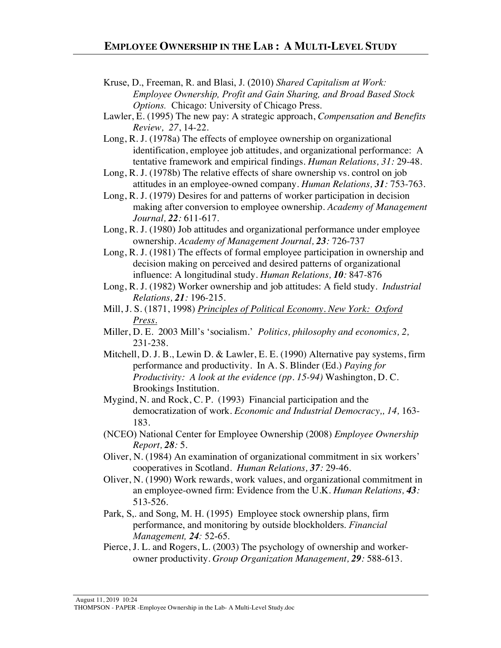- Kruse, D., Freeman, R. and Blasi, J. (2010) *Shared Capitalism at Work: Employee Ownership, Profit and Gain Sharing, and Broad Based Stock Options.* Chicago: University of Chicago Press.
- Lawler, E. (1995) The new pay: A strategic approach, *Compensation and Benefits Review, 27*, 14-22.
- Long, R. J. (1978a) The effects of employee ownership on organizational identification, employee job attitudes, and organizational performance: A tentative framework and empirical findings. *Human Relations, 31:* 29-48.
- Long, R. J. (1978b) The relative effects of share ownership vs. control on job attitudes in an employee-owned company. *Human Relations, 31:* 753-763.
- Long, R. J. (1979) Desires for and patterns of worker participation in decision making after conversion to employee ownership. *Academy of Management Journal, 22:* 611-617.
- Long, R. J. (1980) Job attitudes and organizational performance under employee ownership. *Academy of Management Journal, 23:* 726-737
- Long, R. J. (1981) The effects of formal employee participation in ownership and decision making on perceived and desired patterns of organizational influence: A longitudinal study. *Human Relations, 10:* 847-876
- Long, R. J. (1982) Worker ownership and job attitudes: A field study. *Industrial Relations, 21:* 196-215.
- Mill, J. S. (1871, 1998) *Principles of Political Economy. New York: Oxford Press.*
- Miller, D. E. 2003 Mill's 'socialism.' *Politics, philosophy and economics, 2,* 231-238.
- Mitchell, D. J. B., Lewin D. & Lawler, E. E. (1990) Alternative pay systems, firm performance and productivity. In A. S. Blinder (Ed.) *Paying for Productivity: A look at the evidence (pp. 15-94)* Washington, D. C. Brookings Institution.
- Mygind, N. and Rock, C. P. (1993) Financial participation and the democratization of work. *Economic and Industrial Democracy,, 14,* 163- 183.
- (NCEO) National Center for Employee Ownership (2008) *Employee Ownership Report, 28:* 5.
- Oliver, N. (1984) An examination of organizational commitment in six workers' cooperatives in Scotland. *Human Relations, 37:* 29-46.
- Oliver, N. (1990) Work rewards, work values, and organizational commitment in an employee-owned firm: Evidence from the U.K. *Human Relations, 43:* 513-526.
- Park, S., and Song, M. H. (1995) Employee stock ownership plans, firm performance, and monitoring by outside blockholders. *Financial Management, 24:* 52-65.
- Pierce, J. L. and Rogers, L. (2003) The psychology of ownership and workerowner productivity. *Group Organization Management, 29:* 588-613.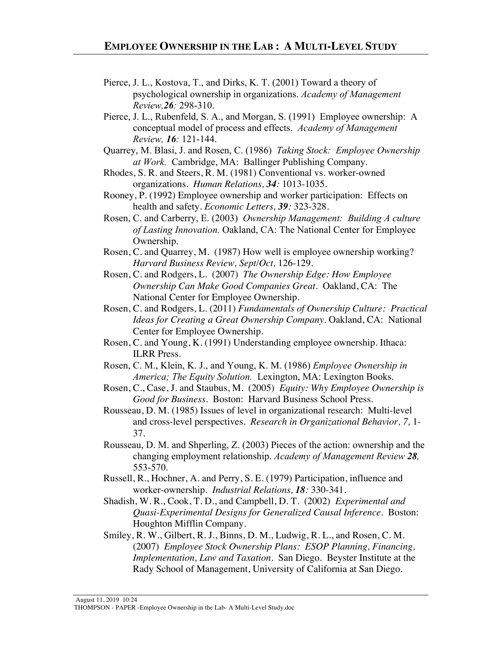- Pierce, J. L., Kostova, T., and Dirks, K. T. (2001) Toward a theory of psychological ownership in organizations. *Academy of Management Review,26:* 298-310.
- Pierce, J. L., Rubenfeld, S. A., and Morgan, S. (1991) Employee ownership: A conceptual model of process and effects. *Academy of Management Review, 16:* 121-144.
- Quarrey, M. Blasi, J. and Rosen, C. (1986) *Taking Stock: Employee Ownership at Work.* Cambridge, MA: Ballinger Publishing Company.
- Rhodes, S. R. and Steers, R. M. (1981) Conventional vs. worker-owned organizations. *Human Relations, 34:* 1013-1035.
- Rooney, P. (1992) Employee ownership and worker participation: Effects on health and safety. *Economic Letters, 39:* 323-328.
- Rosen, C. and Carberry, E. (2003) *Ownership Management: Building A culture of Lasting Innovation.* Oakland, CA: The National Center for Employee Ownership.
- Rosen, C. and Quarrey, M. (1987) How well is employee ownership working? *Harvard Business Review, Sept/Oct,* 126-129.
- Rosen, C. and Rodgers, L. (2007) *The Ownership Edge: How Employee Ownership Can Make Good Companies Great.* Oakland, CA: The National Center for Employee Ownership.
- Rosen, C. and Rodgers, L. (2011) *Fundamentals of Ownership Culture: Practical Ideas for Creating a Great Ownership Company.* Oakland, CA: National Center for Employee Ownership.
- Rosen, C. and Young, K. (1991) Understanding employee ownership. Ithaca: ILRR Press.
- Rosen, C. M., Klein, K. J., and Young, K. M. (1986) *Employee Ownership in America; The Equity Solution.* Lexington, MA: Lexington Books.
- Rosen, C., Case, J. and Staubus, M. (2005) *Equity: Why Employee Ownership is Good for Business.* Boston: Harvard Business School Press.
- Rousseau, D. M. (1985) Issues of level in organizational research: Multi-level and cross-level perspectives. *Research in Organizational Behavior, 7,* 1- 37.
- Rousseau, D. M. and Shperling, Z. (2003) Pieces of the action: ownership and the changing employment relationship. *Academy of Management Review 28,* 553-570.
- Russell, R., Hochner, A. and Perry, S. E. (1979) Participation, influence and worker-ownership. *Industrial Relations, 18:* 330-341.
- Shadish, W. R., Cook, T. D., and Campbell, D. T. (2002) *Experimental and Quasi-Experimental Designs for Generalized Causal Inference.* Boston: Houghton Mifflin Company.
- Smiley, R. W., Gilbert, R. J., Binns, D. M., Ludwig, R. L., and Rosen, C. M. (2007) *Employee Stock Ownership Plans: ESOP Planning, Financing, Implementation, Law and Taxation.* San Diego. Beyster Institute at the Rady School of Management, University of California at San Diego.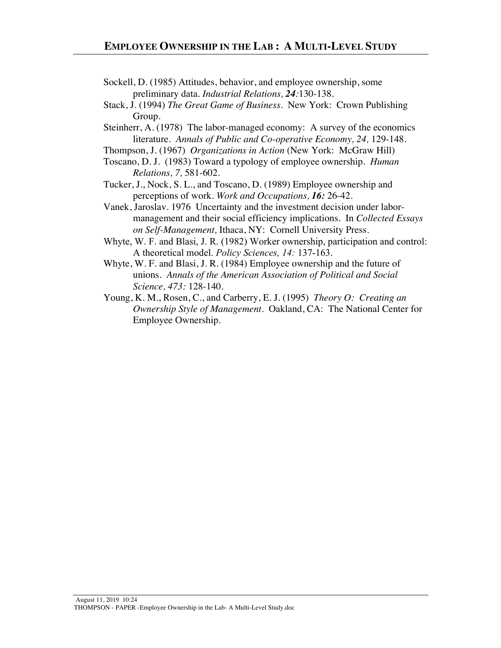Sockell, D. (1985) Attitudes, behavior, and employee ownership, some preliminary data. *Industrial Relations, 24:*130-138.

- Stack, J. (1994) *The Great Game of Business.* New York: Crown Publishing Group.
- Steinherr, A. (1978) The labor-managed economy: A survey of the economics literature. *Annals of Public and Co-operative Economy, 24,* 129-148.
- Thompson, J. (1967) *Organizations in Action* (New York: McGraw Hill)
- Toscano, D. J. (1983) Toward a typology of employee ownership. *Human Relations, 7,* 581-602.
- Tucker, J., Nock, S. L., and Toscano, D. (1989) Employee ownership and perceptions of work. *Work and Occupations, 16:* 26-42.
- Vanek, Jaroslav. 1976 Uncertainty and the investment decision under labormanagement and their social efficiency implications. In *Collected Essays on Self-Management,* Ithaca, NY: Cornell University Press.
- Whyte, W. F. and Blasi, J. R. (1982) Worker ownership, participation and control: A theoretical model. *Policy Sciences, 14:* 137-163.
- Whyte, W. F. and Blasi, J. R. (1984) Employee ownership and the future of unions. *Annals of the American Association of Political and Social Science, 473:* 128-140.
- Young, K. M., Rosen, C., and Carberry, E. J. (1995) *Theory O: Creating an Ownership Style of Management.* Oakland, CA: The National Center for Employee Ownership.